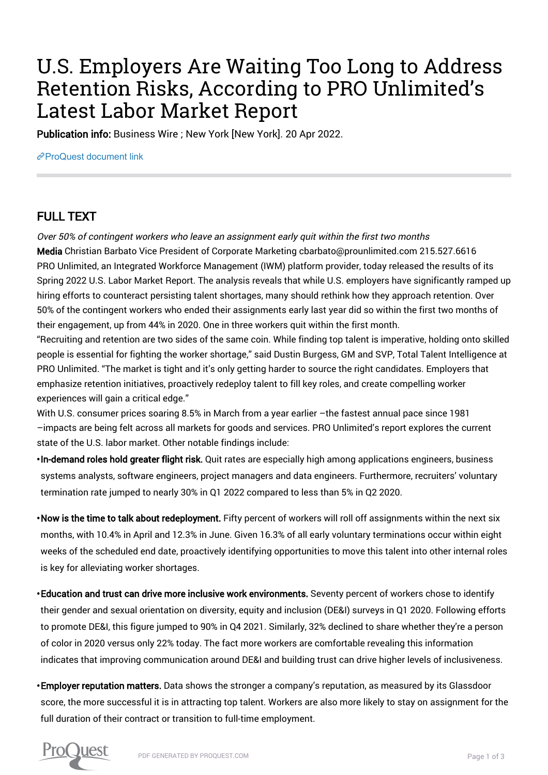## U.S. Employers Are Waiting Too Long to Address Retention Risks, According to PRO Unlimited's Latest Labor Market Report

Publication info: Business Wire ; New York [New York]. 20 Apr 2022.

[ProQuest document link](https://www.proquest.com/wire-feeds/u-s-employers-are-waiting-too-long-address/docview/2652543474/se-2?accountid=44910)

## FULL TEXT

Over 50% of contingent workers who leave an assignment early quit within the first two months

Media Christian Barbato Vice President of Corporate Marketing cbarbato@prounlimited.com 215.527.6616 PRO Unlimited, an Integrated Workforce Management (IWM) platform provider, today released the results of its Spring 2022 U.S. Labor Market Report. The analysis reveals that while U.S. employers have significantly ramped up hiring efforts to counteract persisting talent shortages, many should rethink how they approach retention. Over 50% of the contingent workers who ended their assignments early last year did so within the first two months of their engagement, up from 44% in 2020. One in three workers quit within the first month.

"Recruiting and retention are two sides of the same coin. While finding top talent is imperative, holding onto skilled people is essential for fighting the worker shortage," said Dustin Burgess, GM and SVP, Total Talent Intelligence at PRO Unlimited. "The market is tight and it's only getting harder to source the right candidates. Employers that emphasize retention initiatives, proactively redeploy talent to fill key roles, and create compelling worker experiences will gain a critical edge."

With U.S. consumer prices soaring 8.5% in March from a year earlier –the fastest annual pace since 1981 –impacts are being felt across all markets for goods and services. PRO Unlimited's report explores the current state of the U.S. labor market. Other notable findings include:

• In-demand roles hold greater flight risk. Quit rates are especially high among applications engineers, business systems analysts, software engineers, project managers and data engineers. Furthermore, recruiters' voluntary termination rate jumped to nearly 30% in Q1 2022 compared to less than 5% in Q2 2020.

 $\cdot$ Now is the time to talk about redeployment. Fifty percent of workers will roll off assignments within the next six months, with 10.4% in April and 12.3% in June. Given 16.3% of all early voluntary terminations occur within eight weeks of the scheduled end date, proactively identifying opportunities to move this talent into other internal roles is key for alleviating worker shortages.

• Education and trust can drive more inclusive work environments. Seventy percent of workers chose to identify their gender and sexual orientation on diversity, equity and inclusion (DE&I) surveys in Q1 2020. Following efforts to promote DE&I, this figure jumped to 90% in Q4 2021. Similarly, 32% declined to share whether they're a person of color in 2020 versus only 22% today. The fact more workers are comfortable revealing this information indicates that improving communication around DE&I and building trust can drive higher levels of inclusiveness.

• Employer reputation matters. Data shows the stronger a company's reputation, as measured by its Glassdoor score, the more successful it is in attracting top talent. Workers are also more likely to stay on assignment for the full duration of their contract or transition to full-time employment.

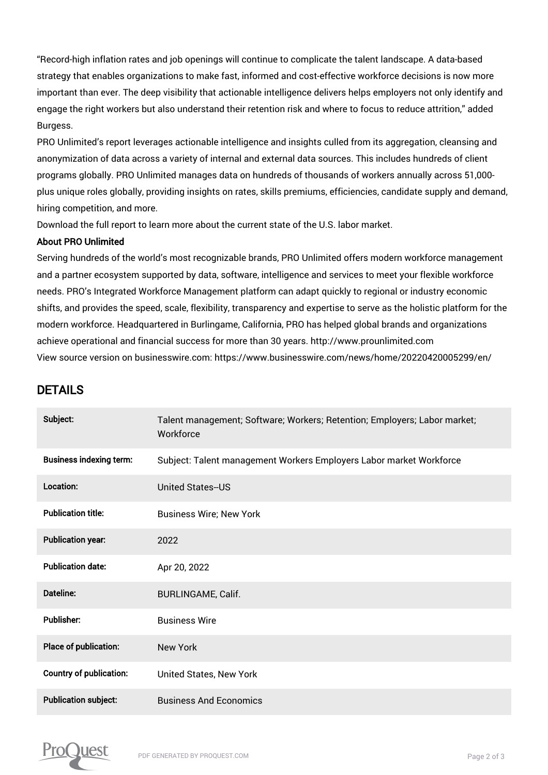"Record-high inflation rates and job openings will continue to complicate the talent landscape. A data-based strategy that enables organizations to make fast, informed and cost-effective workforce decisions is now more important than ever. The deep visibility that actionable intelligence delivers helps employers not only identify and engage the right workers but also understand their retention risk and where to focus to reduce attrition," added Burgess.

PRO Unlimited's report leverages actionable intelligence and insights culled from its aggregation, cleansing and anonymization of data across a variety of internal and external data sources. This includes hundreds of client programs globally. PRO Unlimited manages data on hundreds of thousands of workers annually across 51,000 plus unique roles globally, providing insights on rates, skills premiums, efficiencies, candidate supply and demand, hiring competition, and more.

Download the full report to learn more about the current state of the U.S. labor market.

## About PRO Unlimited

Serving hundreds of the world's most recognizable brands, PRO Unlimited offers modern workforce management and a partner ecosystem supported by data, software, intelligence and services to meet your flexible workforce needs. PRO's Integrated Workforce Management platform can adapt quickly to regional or industry economic shifts, and provides the speed, scale, flexibility, transparency and expertise to serve as the holistic platform for the modern workforce. Headquartered in Burlingame, California, PRO has helped global brands and organizations achieve operational and financial success for more than 30 years. http://www.prounlimited.com View source version on businesswire.com: https://www.businesswire.com/news/home/20220420005299/en/

## DETAILS

| Subject:                       | Talent management; Software; Workers; Retention; Employers; Labor market;<br>Workforce |
|--------------------------------|----------------------------------------------------------------------------------------|
| <b>Business indexing term:</b> | Subject: Talent management Workers Employers Labor market Workforce                    |
| Location:                      | <b>United States--US</b>                                                               |
| <b>Publication title:</b>      | <b>Business Wire; New York</b>                                                         |
| <b>Publication year:</b>       | 2022                                                                                   |
| <b>Publication date:</b>       | Apr 20, 2022                                                                           |
| Dateline:                      | <b>BURLINGAME, Calif.</b>                                                              |
| <b>Publisher:</b>              | <b>Business Wire</b>                                                                   |
| Place of publication:          | <b>New York</b>                                                                        |
| <b>Country of publication:</b> | United States, New York                                                                |
| <b>Publication subject:</b>    | <b>Business And Economics</b>                                                          |